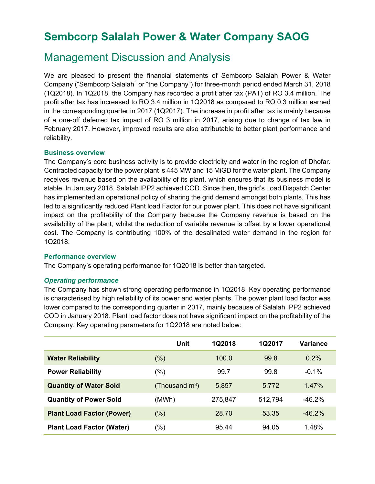# **Sembcorp Salalah Power & Water Company SAOG**

# Management Discussion and Analysis

We are pleased to present the financial statements of Sembcorp Salalah Power & Water Company ("Sembcorp Salalah" or "the Company") for three-month period ended March 31, 2018 (1Q2018). In 1Q2018, the Company has recorded a profit after tax (PAT) of RO 3.4 million. The profit after tax has increased to RO 3.4 million in 1Q2018 as compared to RO 0.3 million earned in the corresponding quarter in 2017 (1Q2017). The increase in profit after tax is mainly because of a one-off deferred tax impact of RO 3 million in 2017, arising due to change of tax law in February 2017. However, improved results are also attributable to better plant performance and reliability.

#### **Business overview**

The Company's core business activity is to provide electricity and water in the region of Dhofar. Contracted capacity for the power plant is 445 MW and 15 MiGD for the water plant. The Company receives revenue based on the availability of its plant, which ensures that its business model is stable. In January 2018, Salalah IPP2 achieved COD. Since then, the grid's Load Dispatch Center has implemented an operational policy of sharing the grid demand amongst both plants. This has led to a significantly reduced Plant load Factor for our power plant. This does not have significant impact on the profitability of the Company because the Company revenue is based on the availability of the plant, whilst the reduction of variable revenue is offset by a lower operational cost. The Company is contributing 100% of the desalinated water demand in the region for 1Q2018.

#### **Performance overview**

The Company's operating performance for 1Q2018 is better than targeted.

#### *Operating performance*

The Company has shown strong operating performance in 1Q2018. Key operating performance is characterised by high reliability of its power and water plants. The power plant load factor was lower compared to the corresponding quarter in 2017, mainly because of Salalah IPP2 achieved COD in January 2018. Plant load factor does not have significant impact on the profitability of the Company. Key operating parameters for 1Q2018 are noted below:

|                                  | Unit                       | 1Q2018  | <b>1Q2017</b> | <b>Variance</b> |
|----------------------------------|----------------------------|---------|---------------|-----------------|
| <b>Water Reliability</b>         | $(\%)$                     | 100.0   | 99.8          | $0.2\%$         |
| <b>Power Reliability</b>         | $(\% )$                    | 99.7    | 99.8          | $-0.1%$         |
| <b>Quantity of Water Sold</b>    | (Thousand $\mathsf{m}^3$ ) | 5,857   | 5,772         | $1.47\%$        |
| <b>Quantity of Power Sold</b>    | (MWh)                      | 275,847 | 512,794       | $-46.2\%$       |
| <b>Plant Load Factor (Power)</b> | $(\%)$                     | 28.70   | 53.35         | $-46.2\%$       |
| <b>Plant Load Factor (Water)</b> | $(\% )$                    | 95.44   | 94.05         | 1.48%           |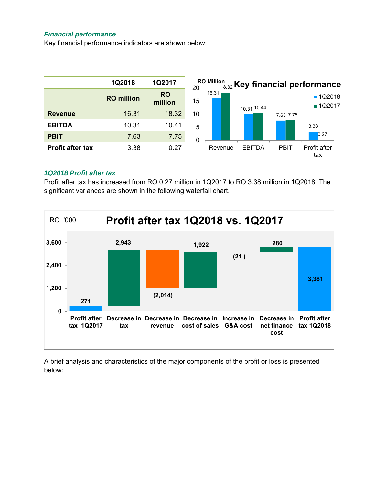#### *Financial performance*

Key financial performance indicators are shown below:



#### *1Q2018 Profit after tax*

Profit after tax has increased from RO 0.27 million in 1Q2017 to RO 3.38 million in 1Q2018. The significant variances are shown in the following waterfall chart.



A brief analysis and characteristics of the major components of the profit or loss is presented below: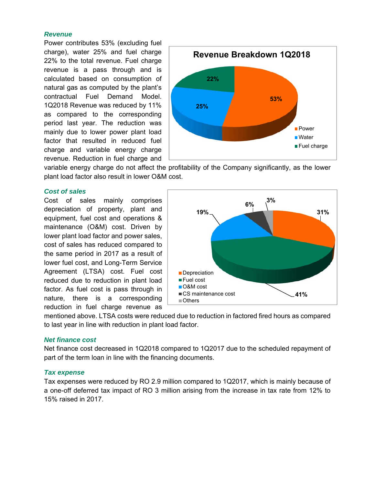#### *Revenue*

Power contributes 53% (excluding fuel charge), water 25% and fuel charge 22% to the total revenue. Fuel charge revenue is a pass through and is calculated based on consumption of natural gas as computed by the plant's contractual Fuel Demand Model. 1Q2018 Revenue was reduced by 11% as compared to the corresponding period last year. The reduction was mainly due to lower power plant load factor that resulted in reduced fuel charge and variable energy charge revenue. Reduction in fuel charge and



variable energy charge do not affect the profitability of the Company significantly, as the lower plant load factor also result in lower O&M cost.

#### *Cost of sales*

Cost of sales mainly comprises depreciation of property, plant and equipment, fuel cost and operations & maintenance (O&M) cost. Driven by lower plant load factor and power sales, cost of sales has reduced compared to the same period in 2017 as a result of lower fuel cost, and Long-Term Service Agreement (LTSA) cost. Fuel cost reduced due to reduction in plant load factor. As fuel cost is pass through in nature, there is a corresponding reduction in fuel charge revenue as



mentioned above. LTSA costs were reduced due to reduction in factored fired hours as compared to last year in line with reduction in plant load factor.

#### *Net finance cost*

Net finance cost decreased in 1Q2018 compared to 1Q2017 due to the scheduled repayment of part of the term loan in line with the financing documents.

#### *Tax expense*

Tax expenses were reduced by RO 2.9 million compared to 1Q2017, which is mainly because of a one-off deferred tax impact of RO 3 million arising from the increase in tax rate from 12% to 15% raised in 2017.